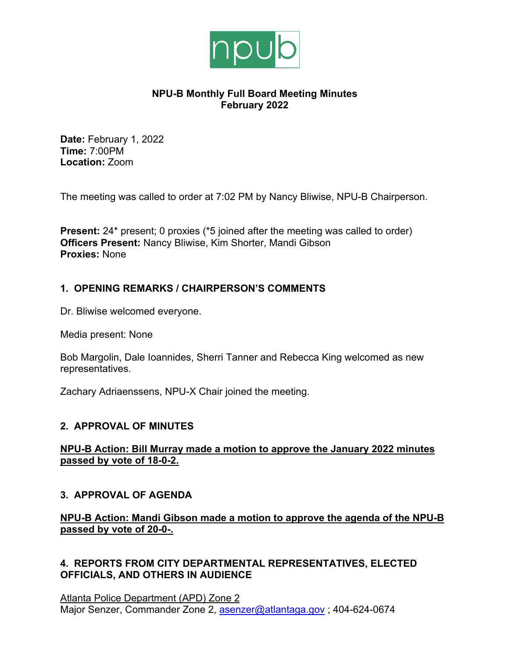

# **NPU-B Monthly Full Board Meeting Minutes February 2022**

**Date:** February 1, 2022 **Time:** 7:00PM **Location:** Zoom

The meeting was called to order at 7:02 PM by Nancy Bliwise, NPU-B Chairperson.

**Present:** 24<sup>\*</sup> present; 0 proxies (\*5 joined after the meeting was called to order) **Officers Present:** Nancy Bliwise, Kim Shorter, Mandi Gibson **Proxies:** None

# **1. OPENING REMARKS / CHAIRPERSON'S COMMENTS**

Dr. Bliwise welcomed everyone.

Media present: None

Bob Margolin, Dale Ioannides, Sherri Tanner and Rebecca King welcomed as new representatives.

Zachary Adriaenssens, NPU-X Chair joined the meeting.

# **2. APPROVAL OF MINUTES**

# **NPU-B Action: Bill Murray made a motion to approve the January 2022 minutes passed by vote of 18-0-2.**

# **3. APPROVAL OF AGENDA**

**NPU-B Action: Mandi Gibson made a motion to approve the agenda of the NPU-B passed by vote of 20-0-.**

# **4. REPORTS FROM CITY DEPARTMENTAL REPRESENTATIVES, ELECTED OFFICIALS, AND OTHERS IN AUDIENCE**

Atlanta Police Department (APD) Zone 2 Major Senzer, Commander Zone 2, asenzer@atlantaga.gov; 404-624-0674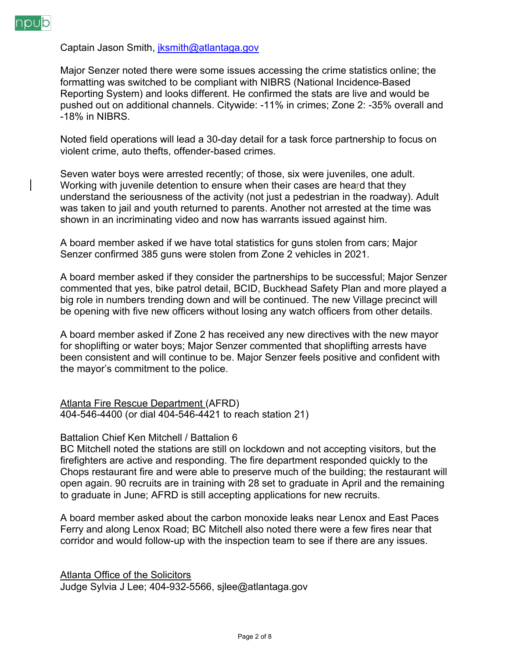

Captain Jason Smith, jksmith@atlantaga.gov

Major Senzer noted there were some issues accessing the crime statistics online; the formatting was switched to be compliant with NIBRS (National Incidence-Based Reporting System) and looks different. He confirmed the stats are live and would be pushed out on additional channels. Citywide: -11% in crimes; Zone 2: -35% overall and -18% in NIBRS.

Noted field operations will lead a 30-day detail for a task force partnership to focus on violent crime, auto thefts, offender-based crimes.

Seven water boys were arrested recently; of those, six were juveniles, one adult. Working with juvenile detention to ensure when their cases are heard that they understand the seriousness of the activity (not just a pedestrian in the roadway). Adult was taken to jail and youth returned to parents. Another not arrested at the time was shown in an incriminating video and now has warrants issued against him.

A board member asked if we have total statistics for guns stolen from cars; Major Senzer confirmed 385 guns were stolen from Zone 2 vehicles in 2021.

A board member asked if they consider the partnerships to be successful; Major Senzer commented that yes, bike patrol detail, BCID, Buckhead Safety Plan and more played a big role in numbers trending down and will be continued. The new Village precinct will be opening with five new officers without losing any watch officers from other details.

A board member asked if Zone 2 has received any new directives with the new mayor for shoplifting or water boys; Major Senzer commented that shoplifting arrests have been consistent and will continue to be. Major Senzer feels positive and confident with the mayor's commitment to the police.

Atlanta Fire Rescue Department (AFRD) 404-546-4400 (or dial 404-546-4421 to reach station 21)

Battalion Chief Ken Mitchell / Battalion 6

BC Mitchell noted the stations are still on lockdown and not accepting visitors, but the firefighters are active and responding. The fire department responded quickly to the Chops restaurant fire and were able to preserve much of the building; the restaurant will open again. 90 recruits are in training with 28 set to graduate in April and the remaining to graduate in June; AFRD is still accepting applications for new recruits.

A board member asked about the carbon monoxide leaks near Lenox and East Paces Ferry and along Lenox Road; BC Mitchell also noted there were a few fires near that corridor and would follow-up with the inspection team to see if there are any issues.

Atlanta Office of the Solicitors Judge Sylvia J Lee; 404-932-5566, sjlee@atlantaga.gov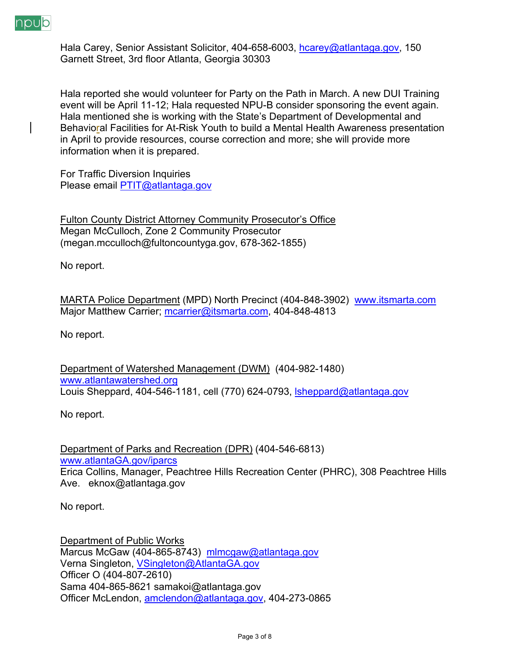

Hala Carey, Senior Assistant Solicitor, 404-658-6003, hcarey@atlantaga.gov, 150 Garnett Street, 3rd floor Atlanta, Georgia 30303

Hala reported she would volunteer for Party on the Path in March. A new DUI Training event will be April 11-12; Hala requested NPU-B consider sponsoring the event again. Hala mentioned she is working with the State's Department of Developmental and Behavioral Facilities for At-Risk Youth to build a Mental Health Awareness presentation in April to provide resources, course correction and more; she will provide more information when it is prepared.

For Traffic Diversion Inquiries Please email PTIT@atlantaga.gov

Fulton County District Attorney Community Prosecutor's Office Megan McCulloch, Zone 2 Community Prosecutor (megan.mcculloch@fultoncountyga.gov, 678-362-1855)

No report.

MARTA Police Department (MPD) North Precinct (404-848-3902) www.itsmarta.com Major Matthew Carrier; mcarrier@itsmarta.com, 404-848-4813

No report.

Department of Watershed Management (DWM) (404-982-1480) www.atlantawatershed.org Louis Sheppard, 404-546-1181, cell (770) 624-0793, *sheppard@atlantaga.gov* 

No report.

Department of Parks and Recreation (DPR) (404-546-6813) www.atlantaGA.gov/iparcs Erica Collins, Manager, Peachtree Hills Recreation Center (PHRC), 308 Peachtree Hills Ave. eknox@atlantaga.gov

No report.

Department of Public Works Marcus McGaw (404-865-8743) mlmcgaw@atlantaga.gov Verna Singleton, VSingleton@AtlantaGA.gov Officer O (404-807-2610) Sama 404-865-8621 samakoi@atlantaga.gov Officer McLendon, amclendon@atlantaga.gov, 404-273-0865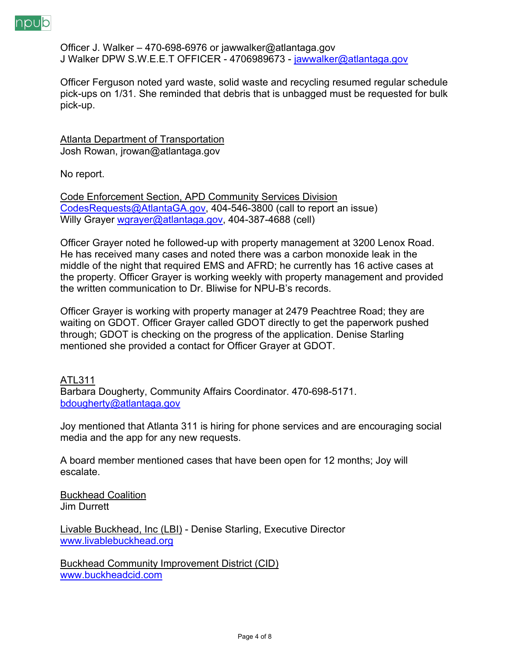

Officer J. Walker – 470-698-6976 or jawwalker@atlantaga.gov J Walker DPW S.W.E.E.T OFFICER - 4706989673 - jawwalker@atlantaga.gov

Officer Ferguson noted yard waste, solid waste and recycling resumed regular schedule pick-ups on 1/31. She reminded that debris that is unbagged must be requested for bulk pick-up.

Atlanta Department of Transportation Josh Rowan, jrowan@atlantaga.gov

No report.

Code Enforcement Section, APD Community Services Division CodesRequests@AtlantaGA.gov, 404-546-3800 (call to report an issue) Willy Grayer wgrayer@atlantaga.gov, 404-387-4688 (cell)

Officer Grayer noted he followed-up with property management at 3200 Lenox Road. He has received many cases and noted there was a carbon monoxide leak in the middle of the night that required EMS and AFRD; he currently has 16 active cases at the property. Officer Grayer is working weekly with property management and provided the written communication to Dr. Bliwise for NPU-B's records.

Officer Grayer is working with property manager at 2479 Peachtree Road; they are waiting on GDOT. Officer Grayer called GDOT directly to get the paperwork pushed through; GDOT is checking on the progress of the application. Denise Starling mentioned she provided a contact for Officer Grayer at GDOT.

# ATL311

Barbara Dougherty, Community Affairs Coordinator. 470-698-5171. bdougherty@atlantaga.gov

Joy mentioned that Atlanta 311 is hiring for phone services and are encouraging social media and the app for any new requests.

A board member mentioned cases that have been open for 12 months; Joy will escalate.

Buckhead Coalition Jim Durrett

Livable Buckhead, Inc (LBI) - Denise Starling, Executive Director www.livablebuckhead.org

Buckhead Community Improvement District (CID) www.buckheadcid.com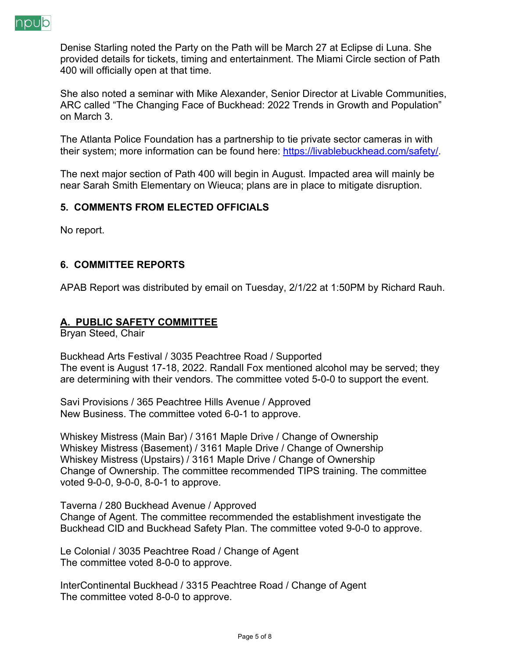

Denise Starling noted the Party on the Path will be March 27 at Eclipse di Luna. She provided details for tickets, timing and entertainment. The Miami Circle section of Path 400 will officially open at that time.

She also noted a seminar with Mike Alexander, Senior Director at Livable Communities, ARC called "The Changing Face of Buckhead: 2022 Trends in Growth and Population" on March 3.

The Atlanta Police Foundation has a partnership to tie private sector cameras in with their system; more information can be found here: https://livablebuckhead.com/safety/.

The next major section of Path 400 will begin in August. Impacted area will mainly be near Sarah Smith Elementary on Wieuca; plans are in place to mitigate disruption.

# **5. COMMENTS FROM ELECTED OFFICIALS**

No report.

#### **6. COMMITTEE REPORTS**

APAB Report was distributed by email on Tuesday, 2/1/22 at 1:50PM by Richard Rauh.

#### **A. PUBLIC SAFETY COMMITTEE**

Bryan Steed, Chair

Buckhead Arts Festival / 3035 Peachtree Road / Supported The event is August 17-18, 2022. Randall Fox mentioned alcohol may be served; they are determining with their vendors. The committee voted 5-0-0 to support the event.

Savi Provisions / 365 Peachtree Hills Avenue / Approved New Business. The committee voted 6-0-1 to approve.

Whiskey Mistress (Main Bar) / 3161 Maple Drive / Change of Ownership Whiskey Mistress (Basement) / 3161 Maple Drive / Change of Ownership Whiskey Mistress (Upstairs) / 3161 Maple Drive / Change of Ownership Change of Ownership. The committee recommended TIPS training. The committee voted 9-0-0, 9-0-0, 8-0-1 to approve.

Taverna / 280 Buckhead Avenue / Approved Change of Agent. The committee recommended the establishment investigate the Buckhead CID and Buckhead Safety Plan. The committee voted 9-0-0 to approve.

Le Colonial / 3035 Peachtree Road / Change of Agent The committee voted 8-0-0 to approve.

InterContinental Buckhead / 3315 Peachtree Road / Change of Agent The committee voted 8-0-0 to approve.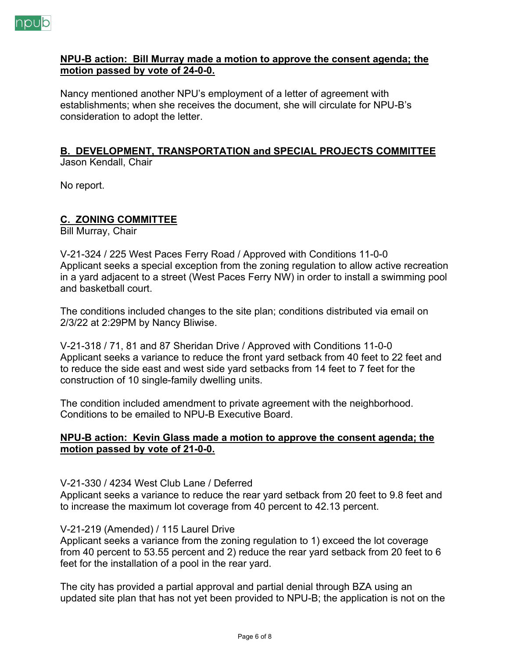

#### **NPU-B action: Bill Murray made a motion to approve the consent agenda; the motion passed by vote of 24-0-0.**

Nancy mentioned another NPU's employment of a letter of agreement with establishments; when she receives the document, she will circulate for NPU-B's consideration to adopt the letter.

#### **B. DEVELOPMENT, TRANSPORTATION and SPECIAL PROJECTS COMMITTEE** Jason Kendall, Chair

No report.

# **C. ZONING COMMITTEE**

Bill Murray, Chair

V-21-324 / 225 West Paces Ferry Road / Approved with Conditions 11-0-0 Applicant seeks a special exception from the zoning regulation to allow active recreation in a yard adjacent to a street (West Paces Ferry NW) in order to install a swimming pool and basketball court.

The conditions included changes to the site plan; conditions distributed via email on 2/3/22 at 2:29PM by Nancy Bliwise.

V-21-318 / 71, 81 and 87 Sheridan Drive / Approved with Conditions 11-0-0 Applicant seeks a variance to reduce the front yard setback from 40 feet to 22 feet and to reduce the side east and west side yard setbacks from 14 feet to 7 feet for the construction of 10 single-family dwelling units.

The condition included amendment to private agreement with the neighborhood. Conditions to be emailed to NPU-B Executive Board.

#### **NPU-B action: Kevin Glass made a motion to approve the consent agenda; the motion passed by vote of 21-0-0.**

# V-21-330 / 4234 West Club Lane / Deferred

Applicant seeks a variance to reduce the rear yard setback from 20 feet to 9.8 feet and to increase the maximum lot coverage from 40 percent to 42.13 percent.

# V-21-219 (Amended) / 115 Laurel Drive

Applicant seeks a variance from the zoning regulation to 1) exceed the lot coverage from 40 percent to 53.55 percent and 2) reduce the rear yard setback from 20 feet to 6 feet for the installation of a pool in the rear yard.

The city has provided a partial approval and partial denial through BZA using an updated site plan that has not yet been provided to NPU-B; the application is not on the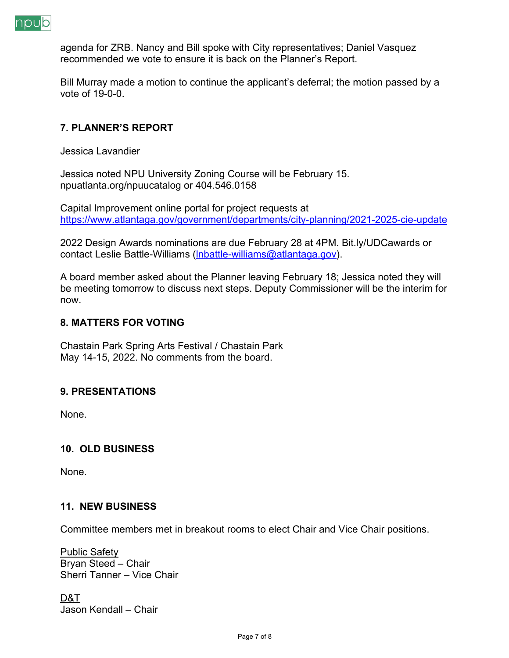

agenda for ZRB. Nancy and Bill spoke with City representatives; Daniel Vasquez recommended we vote to ensure it is back on the Planner's Report.

Bill Murray made a motion to continue the applicant's deferral; the motion passed by a vote of 19-0-0.

# **7. PLANNER'S REPORT**

Jessica Lavandier

Jessica noted NPU University Zoning Course will be February 15. npuatlanta.org/npuucatalog or 404.546.0158

Capital Improvement online portal for project requests at https://www.atlantaga.gov/government/departments/city-planning/2021-2025-cie-update

2022 Design Awards nominations are due February 28 at 4PM. Bit.ly/UDCawards or contact Leslie Battle-Williams (lnbattle-williams@atlantaga.gov).

A board member asked about the Planner leaving February 18; Jessica noted they will be meeting tomorrow to discuss next steps. Deputy Commissioner will be the interim for now.

#### **8. MATTERS FOR VOTING**

Chastain Park Spring Arts Festival / Chastain Park May 14-15, 2022. No comments from the board.

# **9. PRESENTATIONS**

None.

# **10. OLD BUSINESS**

None.

#### **11. NEW BUSINESS**

Committee members met in breakout rooms to elect Chair and Vice Chair positions.

Public Safety Bryan Steed – Chair Sherri Tanner – Vice Chair

D&T Jason Kendall – Chair